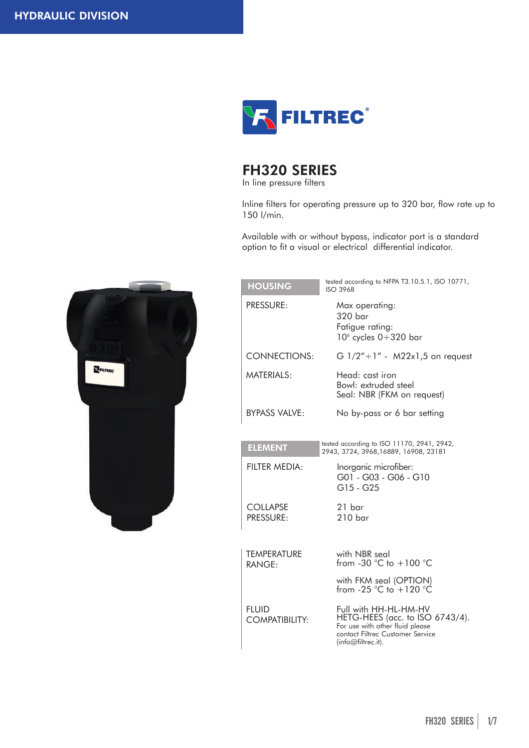

# FH320 SERIES

In line pressure filters

Inline filters for operating pressure up to 320 bar, flow rate up to 150 l/min.

Available with or without bypass, indicator port is a standard option to fit a visual or electrical differential indicator.



| <b>HOUSING</b>                        | tested according to NFPA T3.10.5.1, ISO 10771,<br><b>ISO 3968</b>                                                                                     |
|---------------------------------------|-------------------------------------------------------------------------------------------------------------------------------------------------------|
| PRESSURE:                             | Max operating:<br>320 bar<br>Fatigue rating:<br>$106$ cycles $0 \div 320$ bar                                                                         |
| <b>CONNECTIONS:</b>                   | G $1/2" \div 1"$ - M22x1,5 on request                                                                                                                 |
| MATERIALS:                            | Head: cast iron<br>Bowl: extruded steel<br>Seal: NBR (FKM on request)                                                                                 |
| <b>BYPASS VALVE:</b>                  | No by-pass or 6 bar setting                                                                                                                           |
| <b>ELEMENT</b>                        | tested according to ISO 11170, 2941, 2942,<br>2943, 3724, 3968, 16889, 16908, 23181                                                                   |
| FILTER MEDIA:                         | Inorganic microfiber:<br>G01 - G03 - G06 - G10<br>G15 - G25                                                                                           |
| <b>COLLAPSE</b><br>PRESSURE:          | 21 bar<br>210 <sub>bar</sub>                                                                                                                          |
| <b>TEMPERATURE</b><br>RANGE:          | with NBR seal<br>from -30 $^{\circ}$ C to +100 $^{\circ}$ C                                                                                           |
|                                       | with FKM seal (OPTION)<br>from -25 °C to +120 °C                                                                                                      |
| <b>FLUID</b><br><b>COMPATIBILITY:</b> | Full with HH-HL-HM-HV<br>HETG-HEES (acc. to ISO 6743/4).<br>For use with other fluid please<br>contact Filtrec Customer Service<br>(info@filtrec.it). |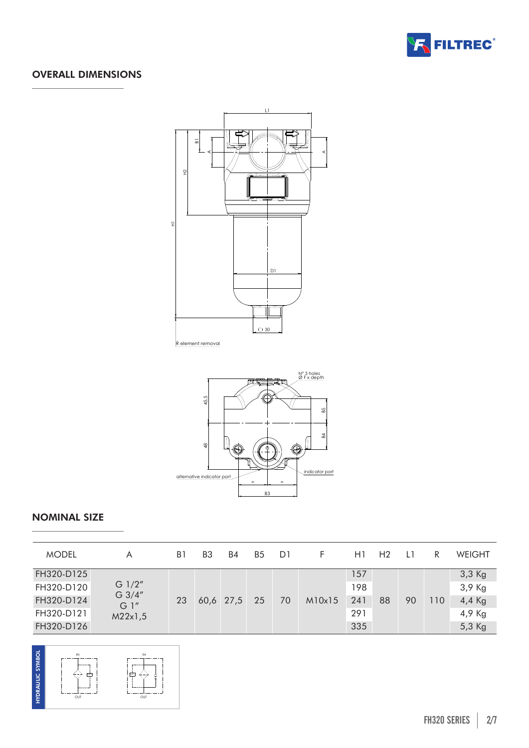

# OVERALL DIMENSIONS





# NOMINAL SIZE

| <b>MODEL</b> | A                                       | B1 | B3 | B4             | B <sub>5</sub> | D1 | F      | H1  | H <sub>2</sub> |    | R   | <b>WEIGHT</b> |
|--------------|-----------------------------------------|----|----|----------------|----------------|----|--------|-----|----------------|----|-----|---------------|
| FH320-D125   |                                         |    |    |                |                |    |        | 157 |                |    |     | 3,3 Kg        |
| FH320-D120   | G $1/2"$<br>G 3/4"<br>$G1$ "<br>M22x1,5 | 23 |    | $60,6$ 27,5 25 |                | 70 | M10x15 | 198 | 88             | 90 | 110 | 3,9 Kg        |
| FH320-D124   |                                         |    |    |                |                |    |        | 241 |                |    |     | 4,4 Kg        |
| FH320-D121   |                                         |    |    |                |                |    |        | 291 |                |    |     | 4,9 Kg        |
| FH320-D126   |                                         |    |    |                |                |    |        |     | 335            |    |     |               |

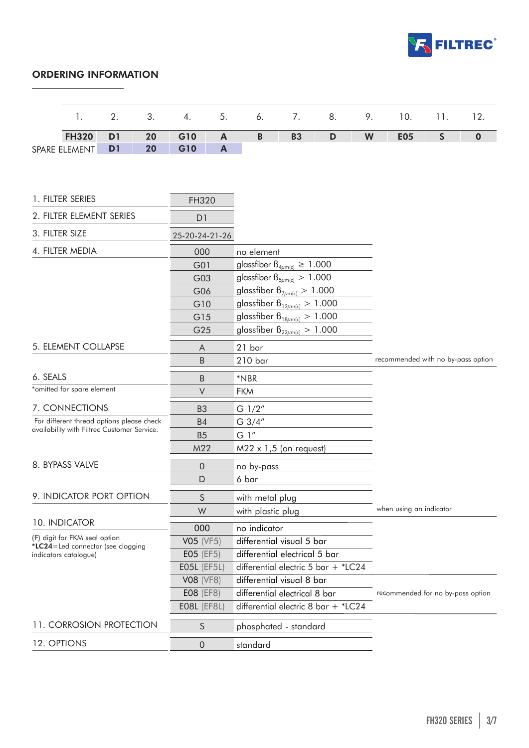

# ORDERING INFORMATION

|                | 1.                                                         | 2.             | 3. | 4.                 | 5.               | 6.                                        | 7.        | 8. | 9. | 10.                                | 11.          | 12.      |  |
|----------------|------------------------------------------------------------|----------------|----|--------------------|------------------|-------------------------------------------|-----------|----|----|------------------------------------|--------------|----------|--|
|                | <b>FH320</b>                                               | D <sub>1</sub> | 20 | G10                | $\mathbf{A}$     | $\mathbf B$                               | <b>B3</b> | D  | W  | <b>E05</b>                         | $\mathsf{S}$ | $\bf{0}$ |  |
| SPARE ELEMENT  |                                                            | D <sub>1</sub> | 20 | G10                | $\boldsymbol{A}$ |                                           |           |    |    |                                    |              |          |  |
|                |                                                            |                |    |                    |                  |                                           |           |    |    |                                    |              |          |  |
|                |                                                            |                |    |                    |                  |                                           |           |    |    |                                    |              |          |  |
|                | 1. FILTER SERIES                                           |                |    | FH320              |                  |                                           |           |    |    |                                    |              |          |  |
|                | 2. FILTER ELEMENT SERIES                                   |                |    | D <sub>1</sub>     |                  |                                           |           |    |    |                                    |              |          |  |
|                |                                                            |                |    |                    |                  |                                           |           |    |    |                                    |              |          |  |
| 3. FILTER SIZE |                                                            |                |    | 25-20-24-21-26     |                  |                                           |           |    |    |                                    |              |          |  |
|                | 4. FILTER MEDIA                                            |                |    | 000                |                  | no element                                |           |    |    |                                    |              |          |  |
|                |                                                            |                |    | G01                |                  | glassfiber $\beta_{4\mu m(c)} \geq 1.000$ |           |    |    |                                    |              |          |  |
|                |                                                            |                |    | G03                |                  | glassfiber $\beta_{5\mu m(c)} > 1.000$    |           |    |    |                                    |              |          |  |
|                |                                                            |                |    | G06                |                  | glassfiber $\beta_{7\mu m(c)} > 1.000$    |           |    |    |                                    |              |          |  |
|                |                                                            |                |    | G10                |                  | glassfiber $\beta_{12\mu m(c)} > 1.000$   |           |    |    |                                    |              |          |  |
|                |                                                            |                |    | G15                |                  | glassfiber $\beta_{18\mu m(c)} > 1.000$   |           |    |    |                                    |              |          |  |
|                |                                                            |                |    | G25                |                  | glassfiber $\beta_{22\mu m(c)} > 1.000$   |           |    |    |                                    |              |          |  |
|                | 5. ELEMENT COLLAPSE                                        |                |    | A                  |                  | 21 bar                                    |           |    |    |                                    |              |          |  |
|                |                                                            |                |    | B                  |                  | $210$ bar                                 |           |    |    | recommended with no by-pass option |              |          |  |
| 6. SEALS       |                                                            |                |    | B                  |                  | *NBR                                      |           |    |    |                                    |              |          |  |
|                | *omitted for spare element                                 |                |    | $\vee$             |                  | <b>FKM</b>                                |           |    |    |                                    |              |          |  |
|                | 7. CONNECTIONS                                             |                |    | B <sub>3</sub>     |                  | $G$ 1/2"                                  |           |    |    |                                    |              |          |  |
|                | For different thread options please check                  |                |    | <b>B4</b>          |                  | $G \frac{3}{4}$                           |           |    |    |                                    |              |          |  |
|                | availability with Filtrec Customer Service.                |                |    | B <sub>5</sub>     | G 1"             |                                           |           |    |    |                                    |              |          |  |
|                |                                                            |                |    | M22                |                  | $M22 \times 1,5$ (on request)             |           |    |    |                                    |              |          |  |
|                | 8. BYPASS VALVE                                            |                |    | $\theta$           |                  | no by-pass                                |           |    |    |                                    |              |          |  |
|                |                                                            |                |    | $\mathsf{D}$       |                  | 6 bar                                     |           |    |    |                                    |              |          |  |
|                | 9. INDICATOR PORT OPTION                                   |                |    | S                  |                  | with metal plug                           |           |    |    |                                    |              |          |  |
|                |                                                            |                |    | W                  |                  | with plastic plug                         |           |    |    | when using an indicator            |              |          |  |
|                | 10. INDICATOR                                              |                |    | 000                |                  | no indicator                              |           |    |    |                                    |              |          |  |
|                | (F) digit for FKM seal option                              |                |    | V05 (VF5)          |                  | differential visual 5 bar                 |           |    |    |                                    |              |          |  |
|                | *LC24=Led connector (see clogging<br>indicators catalogue) |                |    | E05 (EF5)          |                  | differential electrical 5 bar             |           |    |    |                                    |              |          |  |
|                |                                                            |                |    | <b>EO5L</b> (EF5L) |                  | differential electric 5 bar + $*$ LC24    |           |    |    |                                    |              |          |  |
|                |                                                            |                |    | <b>V08 (VF8)</b>   |                  | differential visual 8 bar                 |           |    |    |                                    |              |          |  |
|                |                                                            |                |    | E08 (EF8)          |                  | differential electrical 8 bar             |           |    |    | recommended for no by-pass option  |              |          |  |
|                |                                                            |                |    | EO8L (EF8L)        |                  | differential electric 8 bar + *LC24       |           |    |    |                                    |              |          |  |
|                | 11. CORROSION PROTECTION                                   |                |    | S                  |                  | phosphated - standard                     |           |    |    |                                    |              |          |  |
| 12. OPTIONS    |                                                            |                |    | $\theta$           |                  | standard                                  |           |    |    |                                    |              |          |  |
|                |                                                            |                |    |                    |                  |                                           |           |    |    |                                    |              |          |  |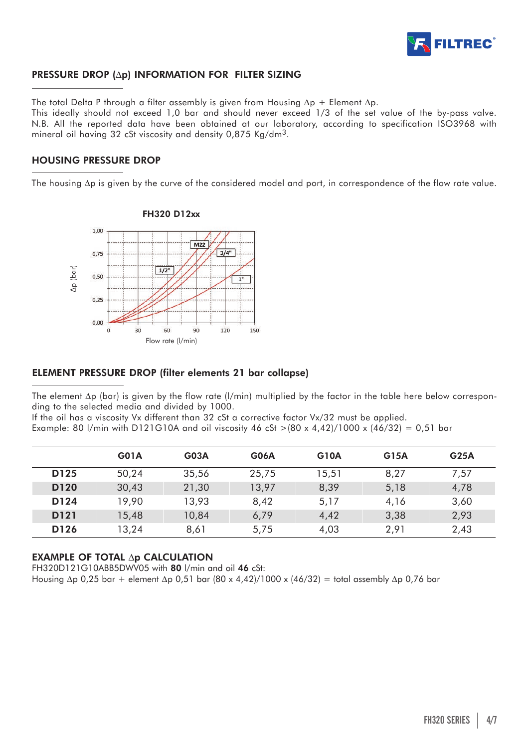

# PRESSURE DROP (∆p) INFORMATION FOR FILTER SIZING

The total Delta P through a filter assembly is given from Housing ∆p + Element ∆p.

This ideally should not exceed 1,0 bar and should never exceed 1/3 of the set value of the by-pass valve. N.B. All the reported data have been obtained at our laboratory, according to specification ISO3968 with mineral oil having 32 cSt viscosity and density 0,875 Kg/dm3.

# HOUSING PRESSURE DROP

The housing ∆p is given by the curve of the considered model and port, in correspondence of the flow rate value.



# ELEMENT PRESSURE DROP (filter elements 21 bar collapse)

The element ∆p (bar) is given by the flow rate (l/min) multiplied by the factor in the table here below corresponding to the selected media and divided by 1000.

If the oil has a viscosity Vx different than 32 cSt a corrective factor Vx/32 must be applied.

Example: 80 l/min with D121G10A and oil viscosity 46 cSt >(80 x 4,42)/1000 x (46/32) = 0,51 bar

|                  | G01A  | <b>G03A</b> | G06A  | <b>G10A</b> | G15A | G <sub>25A</sub> |
|------------------|-------|-------------|-------|-------------|------|------------------|
| D125             | 50,24 | 35,56       | 25,75 | 15,51       | 8,27 | 7,57             |
| D <sub>120</sub> | 30,43 | 21,30       | 13,97 | 8,39        | 5,18 | 4,78             |
| D124             | 19,90 | 13,93       | 8,42  | 5,17        | 4,16 | 3,60             |
| D121             | 15,48 | 10,84       | 6,79  | 4,42        | 3,38 | 2,93             |
| D126             | 13,24 | 8,61        | 5,75  | 4,03        | 2,91 | 2,43             |

# EXAMPLE OF TOTAL ∆p CALCULATION

FH320D121G10ABB5DWV05 with 80 l/min and oil 46 cSt: Housing ∆p 0,25 bar + element ∆p 0,51 bar (80 x 4,42)/1000 x (46/32) = total assembly ∆p 0,76 bar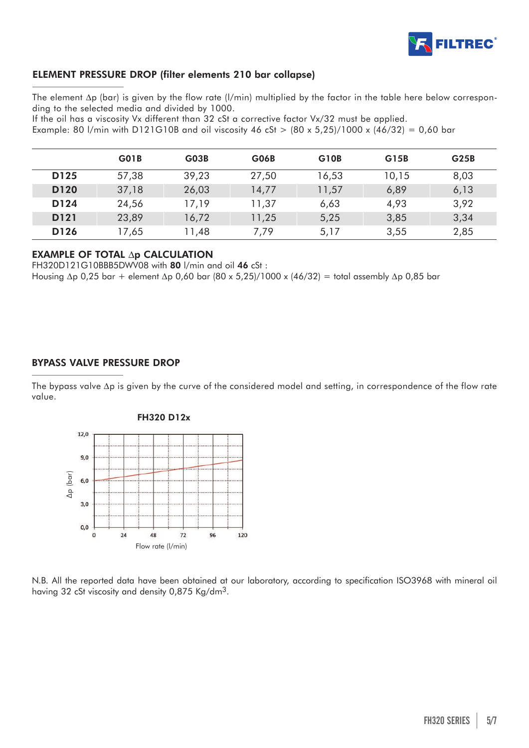

# ELEMENT PRESSURE DROP (filter elements 210 bar collapse)

The element ∆p (bar) is given by the flow rate (l/min) multiplied by the factor in the table here below corresponding to the selected media and divided by 1000.

If the oil has a viscosity Vx different than 32 cSt a corrective factor Vx/32 must be applied. Example: 80 l/min with D121G10B and oil viscosity 46 cSt  $> (80 \times 5,25)/1000 \times (46/32) = 0,60$  bar

|                  | G <sub>0</sub> 1B | GO3B  | <b>G06B</b> | G <sub>10</sub> B | G15B  | G25B |
|------------------|-------------------|-------|-------------|-------------------|-------|------|
| D125             | 57,38             | 39,23 | 27,50       | 16,53             | 10,15 | 8,03 |
| D <sub>120</sub> | 37,18             | 26,03 | 14,77       | 11,57             | 6,89  | 6,13 |
| D124             | 24,56             | 17,19 | 11,37       | 6,63              | 4,93  | 3,92 |
| D <sub>121</sub> | 23,89             | 16,72 | 11,25       | 5,25              | 3,85  | 3,34 |
| D <sub>126</sub> | 17,65             | 11,48 | 7,79        | 5,17              | 3,55  | 2,85 |

# EXAMPLE OF TOTAL ∆p CALCULATION

FH320D121G10BBB5DWV08 with 80 l/min and oil 46 cSt : Housing ∆p 0,25 bar + element ∆p 0,60 bar (80 x 5,25)/1000 x (46/32) = total assembly ∆p 0,85 bar

# BYPASS VALVE PRESSURE DROP

The bypass valve ∆p is given by the curve of the considered model and setting, in correspondence of the flow rate value.



### FH320 D12x

N.B. All the reported data have been obtained at our laboratory, according to specification ISO3968 with mineral oil having 32 cSt viscosity and density 0,875 Kg/dm3.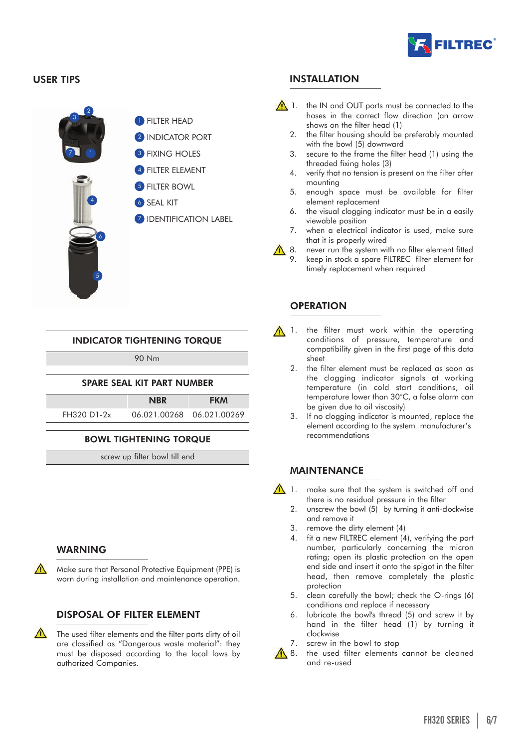



4

5

6

**1** FILTER HEAD

**2 INDICATOR PORT** 

- **3 FIXING HOLES**
- **4** FILTER ELEMENT
- **5** FILTER BOWL
- **6** SEAL KIT
- **7 IDENTIFICATION LABEL**

# INDICATOR TIGHTENING TORQUE

90 Nm

# SPARE SEAL KIT PART NUMBER

NBR FKM FH320 D1-2x 06.021.00268 06.021.00269

# BOWL TIGHTENING TORQUE

screw up filter bowl till end

# WARNING

Make sure that Personal Protective Equipment (PPE) is worn during installation and maintenance operation.

# DISPOSAL OF FILTER ELEMENT

 $\bigwedge$  The used filter elements and the filter parts dirty of oil are classified as "Dangerous waste material": they must be disposed according to the local laws by authorized Companies.

# USER TIPS **INSTALLATION**

- $\bigwedge$  1. the IN and OUT ports must be connected to the hoses in the correct flow direction (an arrow shows on the filter head (1)
	- 2. the filter housing should be preferably mounted with the bowl (5) downward
	- 3. secure to the frame the filter head (1) using the threaded fixing holes (3)
	- 4. verify that no tension is present on the filter after mounting
	- 5. enough space must be available for filter element replacement
	- 6. the visual clogging indicator must be in a easily viewable position
	- 7. when a electrical indicator is used, make sure that it is properly wired
- 18. never run the system with no filter element fitted
	- 9. keep in stock a spare FILTREC filter element for timely replacement when required

# **OPERATION**

- 1. the filter must work within the operating conditions of pressure, temperature and compatibility given in the first page of this data sheet
	- 2. the filter element must be replaced as soon as the clogging indicator signals at working temperature (in cold start conditions, oil temperature lower than 30°C, a false alarm can be given due to oil viscosity)
	- If no clogging indicator is mounted, replace the element according to the system manufacturer's recommendations

# MAINTENANCE

- 1. make sure that the system is switched off and there is no residual pressure in the filter
	- 2. unscrew the bowl (5) by turning it anti-clockwise and remove it
	- 3. remove the dirty element (4)
	- 4. fit a new FILTREC element (4), verifying the part number, particularly concerning the micron rating; open its plastic protection on the open end side and insert it onto the spigot in the filter head, then remove completely the plastic protection
	- 5. clean carefully the bowl; check the O-rings (6) conditions and replace if necessary
	- 6. lubricate the bowl's thread (5) and screw it by hand in the filter head (1) by turning it clockwise
	- 7. screw in the bowl to stop
- A 8. the used filter elements cannot be cleaned and re-used